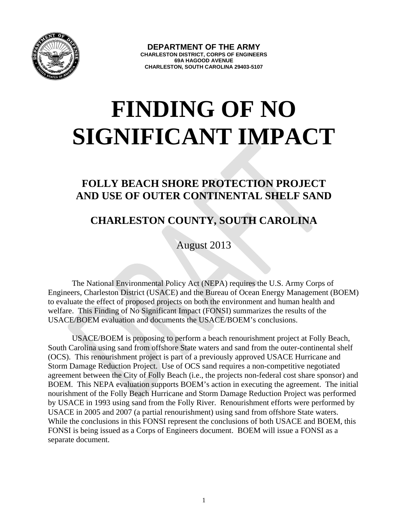

## **FINDING OF NO SIGNIFICANT IMPACT**

## **FOLLY BEACH SHORE PROTECTION PROJECT AND USE OF OUTER CONTINENTAL SHELF SAND**

## **CHARLESTON COUNTY, SOUTH CAROLINA**

August 2013

The National Environmental Policy Act (NEPA) requires the U.S. Army Corps of Engineers, Charleston District (USACE) and the Bureau of Ocean Energy Management (BOEM) to evaluate the effect of proposed projects on both the environment and human health and welfare. This Finding of No Significant Impact (FONSI) summarizes the results of the USACE/BOEM evaluation and documents the USACE/BOEM's conclusions.

USACE/BOEM is proposing to perform a beach renourishment project at Folly Beach, South Carolina using sand from offshore State waters and sand from the outer-continental shelf (OCS). This renourishment project is part of a previously approved USACE Hurricane and Storm Damage Reduction Project. Use of OCS sand requires a non-competitive negotiated agreement between the City of Folly Beach (i.e., the projects non-federal cost share sponsor) and BOEM. This NEPA evaluation supports BOEM's action in executing the agreement. The initial nourishment of the Folly Beach Hurricane and Storm Damage Reduction Project was performed by USACE in 1993 using sand from the Folly River. Renourishment efforts were performed by USACE in 2005 and 2007 (a partial renourishment) using sand from offshore State waters. While the conclusions in this FONSI represent the conclusions of both USACE and BOEM, this FONSI is being issued as a Corps of Engineers document. BOEM will issue a FONSI as a separate document.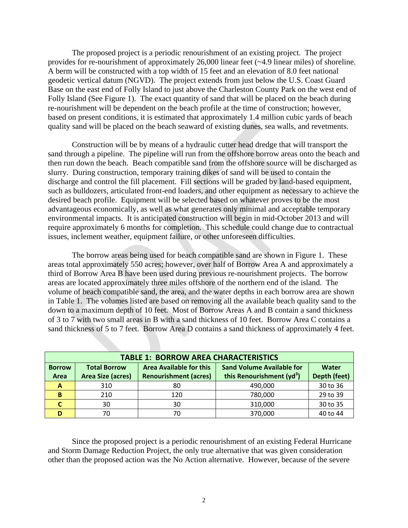The proposed project is a periodic renourishment of an existing project. The project provides for re-nourishment of approximately 26,000 linear feet (~4.9 linear miles) of shoreline. A berm will be constructed with a top width of 15 feet and an elevation of 8.0 feet national geodetic vertical datum (NGVD). The project extends from just below the U.S. Coast Guard Base on the east end of Folly Island to just above the Charleston County Park on the west end of Folly Island (See Figure 1). The exact quantity of sand that will be placed on the beach during re-nourishment will be dependent on the beach profile at the time of construction; however, based on present conditions, it is estimated that approximately 1.4 million cubic yards of beach quality sand will be placed on the beach seaward of existing dunes, sea walls, and revetments.

Construction will be by means of a hydraulic cutter head dredge that will transport the sand through a pipeline. The pipeline will run from the offshore borrow areas onto the beach and then run down the beach. Beach compatible sand from the offshore source will be discharged as slurry. During construction, temporary training dikes of sand will be used to contain the discharge and control the fill placement. Fill sections will be graded by land-based equipment, such as bulldozers, articulated front-end loaders, and other equipment as necessary to achieve the desired beach profile. Equipment will be selected based on whatever proves to be the most advantageous economically, as well as what generates only minimal and acceptable temporary environmental impacts. It is anticipated construction will begin in mid-October 2013 and will require approximately 6 months for completion. This schedule could change due to contractual issues, inclement weather, equipment failure, or other unforeseen difficulties.

The borrow areas being used for beach compatible sand are shown in Figure 1. These areas total approximately 550 acres; however, over half of Borrow Area A and approximately a third of Borrow Area B have been used during previous re-nourishment projects. The borrow areas are located approximately three miles offshore of the northern end of the island. The volume of beach compatible sand, the area, and the water depths in each borrow area are shown in Table 1. The volumes listed are based on removing all the available beach quality sand to the down to a maximum depth of 10 feet. Most of Borrow Areas A and B contain a sand thickness of 3 to 7 with two small areas in B with a sand thickness of 10 feet. Borrow Area C contains a sand thickness of 5 to 7 feet. Borrow Area D contains a sand thickness of approximately 4 feet.

| <b>TABLE 1: BORROW AREA CHARACTERISTICS</b> |                          |                                |                                       |              |
|---------------------------------------------|--------------------------|--------------------------------|---------------------------------------|--------------|
| <b>Borrow</b>                               | <b>Total Borrow</b>      | <b>Area Available for this</b> | <b>Sand Volume Available for</b>      | Water        |
| Area                                        | <b>Area Size (acres)</b> | <b>Renourishment (acres)</b>   | this Renourishment (yd <sup>3</sup> ) | Depth (feet) |
| A                                           | 310                      | 80                             | 490,000                               | 30 to 36     |
| B                                           | 210                      | 120                            | 780,000                               | 29 to 39     |
|                                             | 30                       | 30                             | 310,000                               | 30 to 35     |
|                                             | 70                       | 70                             | 370,000                               | 40 to 44     |

Since the proposed project is a periodic renourishment of an existing Federal Hurricane and Storm Damage Reduction Project, the only true alternative that was given consideration other than the proposed action was the No Action alternative. However, because of the severe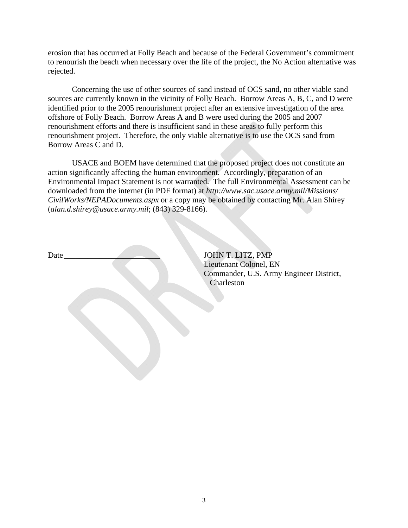erosion that has occurred at Folly Beach and because of the Federal Government's commitment to renourish the beach when necessary over the life of the project, the No Action alternative was rejected.

Concerning the use of other sources of sand instead of OCS sand, no other viable sand sources are currently known in the vicinity of Folly Beach. Borrow Areas A, B, C, and D were identified prior to the 2005 renourishment project after an extensive investigation of the area offshore of Folly Beach. Borrow Areas A and B were used during the 2005 and 2007 renourishment efforts and there is insufficient sand in these areas to fully perform this renourishment project. Therefore, the only viable alternative is to use the OCS sand from Borrow Areas C and D.

USACE and BOEM have determined that the proposed project does not constitute an action significantly affecting the human environment. Accordingly, preparation of an Environmental Impact Statement is not warranted. The full Environmental Assessment can be downloaded from the internet (in PDF format) at *http://www.sac.usace.army.mil/Missions/ CivilWorks/NEPADocuments.aspx* or a copy may be obtained by contacting Mr. Alan Shirey (*alan.d.shirey@usace.army.mil*; (843) 329-8166).

Date **Date Date Date** *Date Date Date Date BUDER DOHN T. LITZ, PMP*  Lieutenant Colonel, EN Commander, U.S. Army Engineer District, Charleston